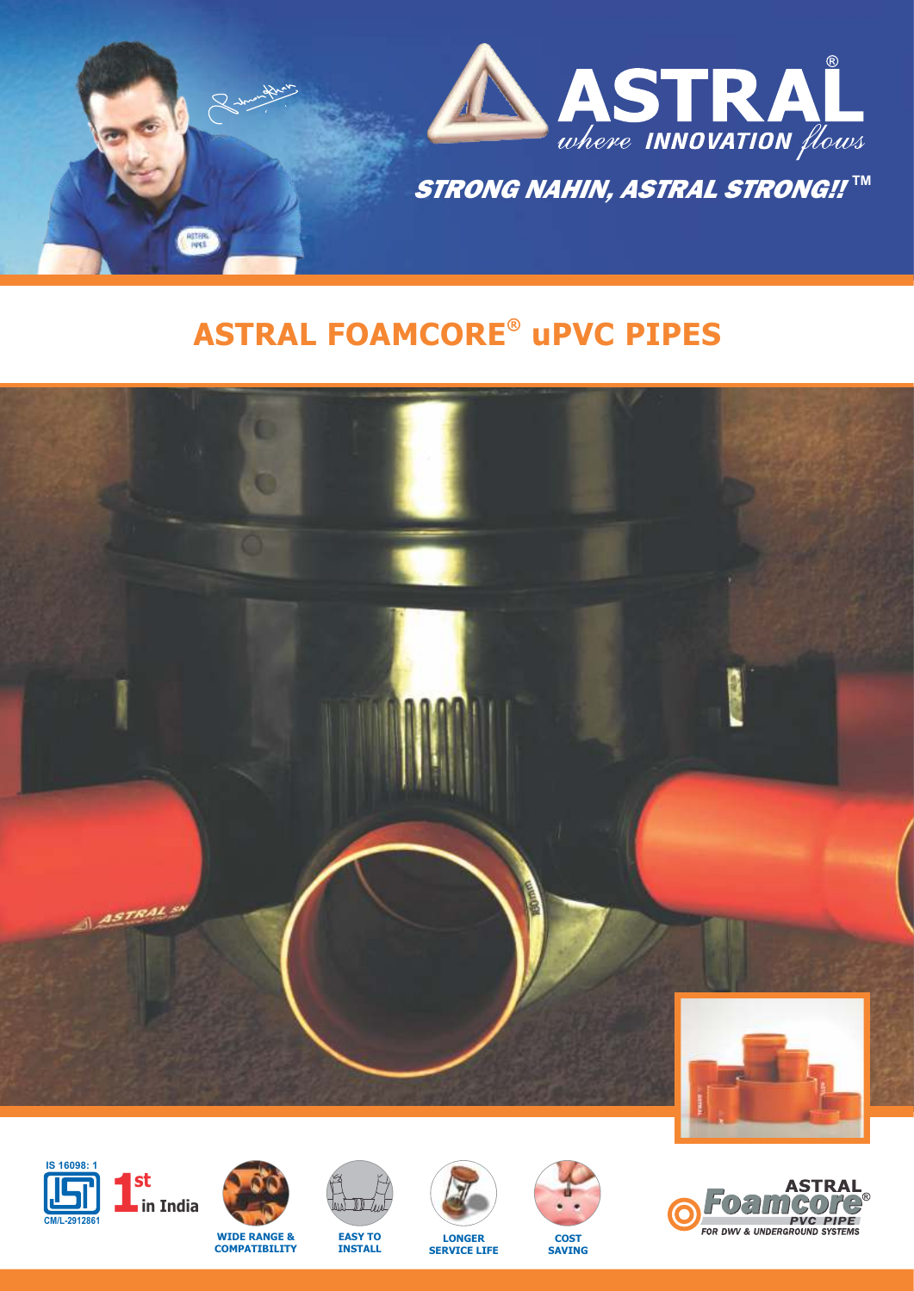

# **® ASTRAL FOAMCORE uPVC PIPES**







**COMPATIBILITY**





**LONGER SERVICE LIFE**